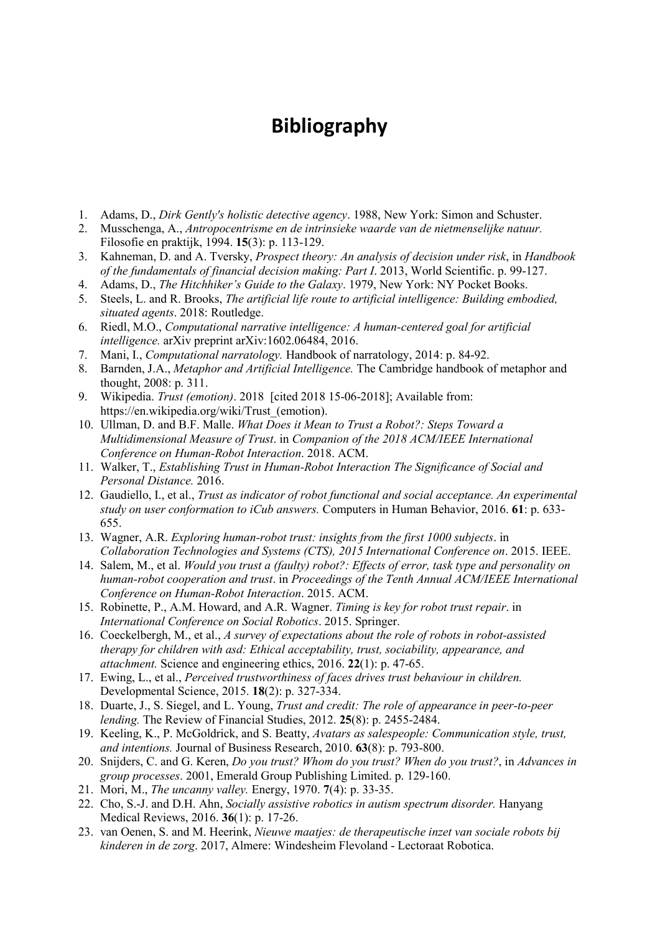## **Bibliography**

- 1. Adams, D., *Dirk Gently's holistic detective agency*. 1988, New York: Simon and Schuster.
- 2. Musschenga, A., *Antropocentrisme en de intrinsieke waarde van de nietmenselijke natuur.* Filosofie en praktijk, 1994. **15**(3): p. 113-129.
- 3. Kahneman, D. and A. Tversky, *Prospect theory: An analysis of decision under risk*, in *Handbook of the fundamentals of financial decision making: Part I*. 2013, World Scientific. p. 99-127.
- 4. Adams, D., *The Hitchhiker's Guide to the Galaxy*. 1979, New York: NY Pocket Books.
- 5. Steels, L. and R. Brooks, *The artificial life route to artificial intelligence: Building embodied, situated agents*. 2018: Routledge.
- 6. Riedl, M.O., *Computational narrative intelligence: A human-centered goal for artificial intelligence.* arXiv preprint arXiv:1602.06484, 2016.
- 7. Mani, I., *Computational narratology.* Handbook of narratology, 2014: p. 84-92.
- 8. Barnden, J.A., *Metaphor and Artificial Intelligence.* The Cambridge handbook of metaphor and thought, 2008: p. 311.
- 9. Wikipedia. *Trust (emotion)*. 2018 [cited 2018 15-06-2018]; Available from: https://en.wikipedia.org/wiki/Trust\_(emotion).
- 10. Ullman, D. and B.F. Malle. *What Does it Mean to Trust a Robot?: Steps Toward a Multidimensional Measure of Trust*. in *Companion of the 2018 ACM/IEEE International Conference on Human-Robot Interaction*. 2018. ACM.
- 11. Walker, T., *Establishing Trust in Human-Robot Interaction The Significance of Social and Personal Distance.* 2016.
- 12. Gaudiello, I., et al., *Trust as indicator of robot functional and social acceptance. An experimental study on user conformation to iCub answers.* Computers in Human Behavior, 2016. **61**: p. 633- 655.
- 13. Wagner, A.R. *Exploring human-robot trust: insights from the first 1000 subjects*. in *Collaboration Technologies and Systems (CTS), 2015 International Conference on*. 2015. IEEE.
- 14. Salem, M., et al. *Would you trust a (faulty) robot?: Effects of error, task type and personality on human-robot cooperation and trust*. in *Proceedings of the Tenth Annual ACM/IEEE International Conference on Human-Robot Interaction*. 2015. ACM.
- 15. Robinette, P., A.M. Howard, and A.R. Wagner. *Timing is key for robot trust repair*. in *International Conference on Social Robotics*. 2015. Springer.
- 16. Coeckelbergh, M., et al., *A survey of expectations about the role of robots in robot-assisted therapy for children with asd: Ethical acceptability, trust, sociability, appearance, and attachment.* Science and engineering ethics, 2016. **22**(1): p. 47-65.
- 17. Ewing, L., et al., *Perceived trustworthiness of faces drives trust behaviour in children.* Developmental Science, 2015. **18**(2): p. 327-334.
- 18. Duarte, J., S. Siegel, and L. Young, *Trust and credit: The role of appearance in peer-to-peer lending.* The Review of Financial Studies, 2012. **25**(8): p. 2455-2484.
- 19. Keeling, K., P. McGoldrick, and S. Beatty, *Avatars as salespeople: Communication style, trust, and intentions.* Journal of Business Research, 2010. **63**(8): p. 793-800.
- 20. Snijders, C. and G. Keren, *Do you trust? Whom do you trust? When do you trust?*, in *Advances in group processes*. 2001, Emerald Group Publishing Limited. p. 129-160.
- 21. Mori, M., *The uncanny valley.* Energy, 1970. **7**(4): p. 33-35.
- 22. Cho, S.-J. and D.H. Ahn, *Socially assistive robotics in autism spectrum disorder.* Hanyang Medical Reviews, 2016. **36**(1): p. 17-26.
- 23. van Oenen, S. and M. Heerink, *Nieuwe maatjes: de therapeutische inzet van sociale robots bij kinderen in de zorg*. 2017, Almere: Windesheim Flevoland - Lectoraat Robotica.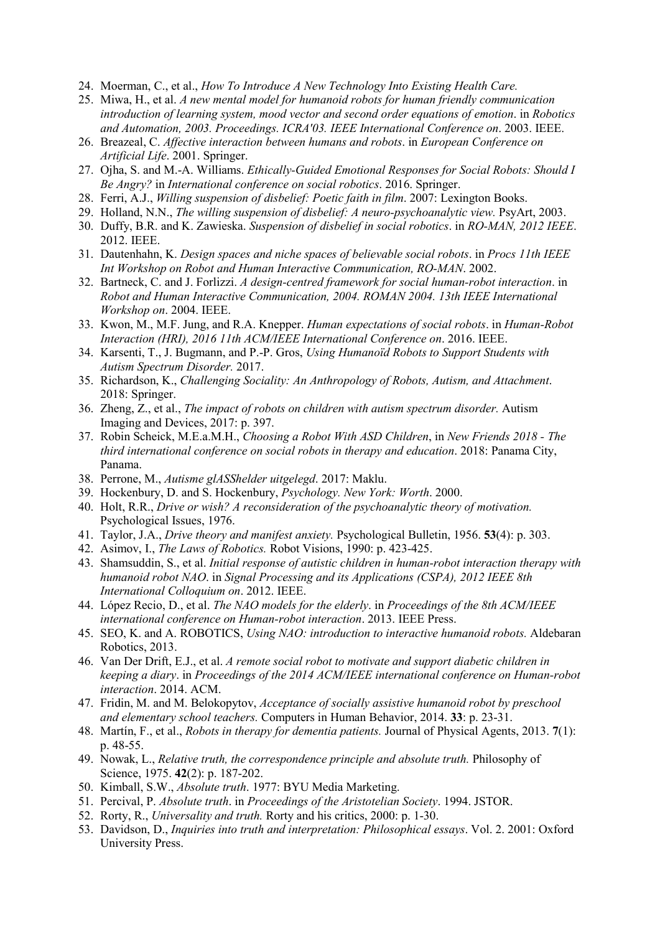- 24. Moerman, C., et al., *How To Introduce A New Technology Into Existing Health Care.*
- 25. Miwa, H., et al. *A new mental model for humanoid robots for human friendly communication introduction of learning system, mood vector and second order equations of emotion*. in *Robotics and Automation, 2003. Proceedings. ICRA'03. IEEE International Conference on*. 2003. IEEE.
- 26. Breazeal, C. *Affective interaction between humans and robots*. in *European Conference on Artificial Life*. 2001. Springer.
- 27. Ojha, S. and M.-A. Williams. *Ethically-Guided Emotional Responses for Social Robots: Should I Be Angry?* in *International conference on social robotics*. 2016. Springer.
- 28. Ferri, A.J., *Willing suspension of disbelief: Poetic faith in film*. 2007: Lexington Books.
- 29. Holland, N.N., *The willing suspension of disbelief: A neuro-psychoanalytic view.* PsyArt, 2003.
- 30. Duffy, B.R. and K. Zawieska. *Suspension of disbelief in social robotics*. in *RO-MAN, 2012 IEEE*. 2012. IEEE.
- 31. Dautenhahn, K. *Design spaces and niche spaces of believable social robots*. in *Procs 11th IEEE Int Workshop on Robot and Human Interactive Communication, RO-MAN*. 2002.
- 32. Bartneck, C. and J. Forlizzi. *A design-centred framework for social human-robot interaction*. in *Robot and Human Interactive Communication, 2004. ROMAN 2004. 13th IEEE International Workshop on*. 2004. IEEE.
- 33. Kwon, M., M.F. Jung, and R.A. Knepper. *Human expectations of social robots*. in *Human-Robot Interaction (HRI), 2016 11th ACM/IEEE International Conference on*. 2016. IEEE.
- 34. Karsenti, T., J. Bugmann, and P.-P. Gros, *Using Humanoïd Robots to Support Students with Autism Spectrum Disorder.* 2017.
- 35. Richardson, K., *Challenging Sociality: An Anthropology of Robots, Autism, and Attachment*. 2018: Springer.
- 36. Zheng, Z., et al., *The impact of robots on children with autism spectrum disorder.* Autism Imaging and Devices, 2017: p. 397.
- 37. Robin Scheick, M.E.a.M.H., *Choosing a Robot With ASD Children*, in *New Friends 2018 - The third international conference on social robots in therapy and education*. 2018: Panama City, Panama.
- 38. Perrone, M., *Autisme glASShelder uitgelegd*. 2017: Maklu.
- 39. Hockenbury, D. and S. Hockenbury, *Psychology. New York: Worth*. 2000.
- 40. Holt, R.R., *Drive or wish? A reconsideration of the psychoanalytic theory of motivation.* Psychological Issues, 1976.
- 41. Taylor, J.A., *Drive theory and manifest anxiety.* Psychological Bulletin, 1956. **53**(4): p. 303.
- 42. Asimov, I., *The Laws of Robotics.* Robot Visions, 1990: p. 423-425.
- 43. Shamsuddin, S., et al. *Initial response of autistic children in human-robot interaction therapy with humanoid robot NAO*. in *Signal Processing and its Applications (CSPA), 2012 IEEE 8th International Colloquium on*. 2012. IEEE.
- 44. López Recio, D., et al. *The NAO models for the elderly*. in *Proceedings of the 8th ACM/IEEE international conference on Human-robot interaction*. 2013. IEEE Press.
- 45. SEO, K. and A. ROBOTICS, *Using NAO: introduction to interactive humanoid robots.* Aldebaran Robotics, 2013.
- 46. Van Der Drift, E.J., et al. *A remote social robot to motivate and support diabetic children in keeping a diary*. in *Proceedings of the 2014 ACM/IEEE international conference on Human-robot interaction*. 2014. ACM.
- 47. Fridin, M. and M. Belokopytov, *Acceptance of socially assistive humanoid robot by preschool and elementary school teachers.* Computers in Human Behavior, 2014. **33**: p. 23-31.
- 48. Martín, F., et al., *Robots in therapy for dementia patients.* Journal of Physical Agents, 2013. **7**(1): p. 48-55.
- 49. Nowak, L., *Relative truth, the correspondence principle and absolute truth.* Philosophy of Science, 1975. **42**(2): p. 187-202.
- 50. Kimball, S.W., *Absolute truth*. 1977: BYU Media Marketing.
- 51. Percival, P. *Absolute truth*. in *Proceedings of the Aristotelian Society*. 1994. JSTOR.
- 52. Rorty, R., *Universality and truth.* Rorty and his critics, 2000: p. 1-30.
- 53. Davidson, D., *Inquiries into truth and interpretation: Philosophical essays*. Vol. 2. 2001: Oxford University Press.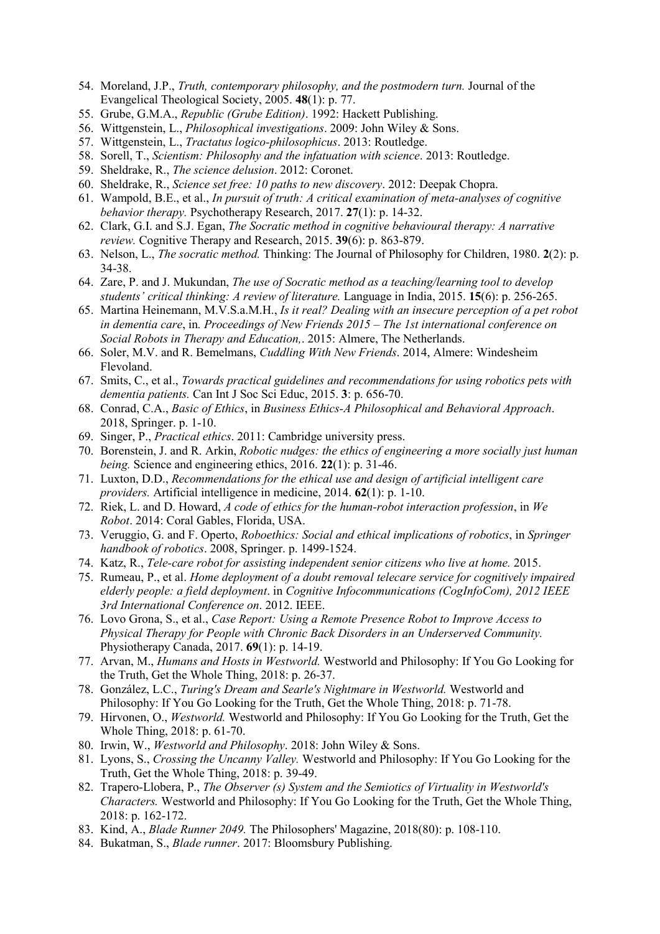- 54. Moreland, J.P., *Truth, contemporary philosophy, and the postmodern turn.* Journal of the Evangelical Theological Society, 2005. **48**(1): p. 77.
- 55. Grube, G.M.A., *Republic (Grube Edition)*. 1992: Hackett Publishing.
- 56. Wittgenstein, L., *Philosophical investigations*. 2009: John Wiley & Sons.
- 57. Wittgenstein, L., *Tractatus logico-philosophicus*. 2013: Routledge.
- 58. Sorell, T., *Scientism: Philosophy and the infatuation with science*. 2013: Routledge.
- 59. Sheldrake, R., *The science delusion*. 2012: Coronet.
- 60. Sheldrake, R., *Science set free: 10 paths to new discovery*. 2012: Deepak Chopra.
- 61. Wampold, B.E., et al., *In pursuit of truth: A critical examination of meta-analyses of cognitive behavior therapy.* Psychotherapy Research, 2017. **27**(1): p. 14-32.
- 62. Clark, G.I. and S.J. Egan, *The Socratic method in cognitive behavioural therapy: A narrative review.* Cognitive Therapy and Research, 2015. **39**(6): p. 863-879.
- 63. Nelson, L., *The socratic method.* Thinking: The Journal of Philosophy for Children, 1980. **2**(2): p. 34-38.
- 64. Zare, P. and J. Mukundan, *The use of Socratic method as a teaching/learning tool to develop students' critical thinking: A review of literature.* Language in India, 2015. **15**(6): p. 256-265.
- 65. Martina Heinemann, M.V.S.a.M.H., *Is it real? Dealing with an insecure perception of a pet robot in dementia care*, in*. Proceedings of New Friends 2015 – The 1st international conference on Social Robots in Therapy and Education,*. 2015: Almere, The Netherlands.
- 66. Soler, M.V. and R. Bemelmans, *Cuddling With New Friends*. 2014, Almere: Windesheim Flevoland.
- 67. Smits, C., et al., *Towards practical guidelines and recommendations for using robotics pets with dementia patients.* Can Int J Soc Sci Educ, 2015. **3**: p. 656-70.
- 68. Conrad, C.A., *Basic of Ethics*, in *Business Ethics-A Philosophical and Behavioral Approach*. 2018, Springer. p. 1-10.
- 69. Singer, P., *Practical ethics*. 2011: Cambridge university press.
- 70. Borenstein, J. and R. Arkin, *Robotic nudges: the ethics of engineering a more socially just human being.* Science and engineering ethics, 2016. **22**(1): p. 31-46.
- 71. Luxton, D.D., *Recommendations for the ethical use and design of artificial intelligent care providers.* Artificial intelligence in medicine, 2014. **62**(1): p. 1-10.
- 72. Riek, L. and D. Howard, *A code of ethics for the human-robot interaction profession*, in *We Robot*. 2014: Coral Gables, Florida, USA.
- 73. Veruggio, G. and F. Operto, *Roboethics: Social and ethical implications of robotics*, in *Springer handbook of robotics*. 2008, Springer. p. 1499-1524.
- 74. Katz, R., *Tele-care robot for assisting independent senior citizens who live at home.* 2015.
- 75. Rumeau, P., et al. *Home deployment of a doubt removal telecare service for cognitively impaired elderly people: a field deployment*. in *Cognitive Infocommunications (CogInfoCom), 2012 IEEE 3rd International Conference on*. 2012. IEEE.
- 76. Lovo Grona, S., et al., *Case Report: Using a Remote Presence Robot to Improve Access to Physical Therapy for People with Chronic Back Disorders in an Underserved Community.* Physiotherapy Canada, 2017. **69**(1): p. 14-19.
- 77. Arvan, M., *Humans and Hosts in Westworld.* Westworld and Philosophy: If You Go Looking for the Truth, Get the Whole Thing, 2018: p. 26-37.
- 78. González, L.C., *Turing's Dream and Searle's Nightmare in Westworld.* Westworld and Philosophy: If You Go Looking for the Truth, Get the Whole Thing, 2018: p. 71-78.
- 79. Hirvonen, O., *Westworld.* Westworld and Philosophy: If You Go Looking for the Truth, Get the Whole Thing, 2018: p. 61-70.
- 80. Irwin, W., *Westworld and Philosophy*. 2018: John Wiley & Sons.
- 81. Lyons, S., *Crossing the Uncanny Valley.* Westworld and Philosophy: If You Go Looking for the Truth, Get the Whole Thing, 2018: p. 39-49.
- 82. Trapero‐Llobera, P., *The Observer (s) System and the Semiotics of Virtuality in Westworld's Characters.* Westworld and Philosophy: If You Go Looking for the Truth, Get the Whole Thing, 2018: p. 162-172.
- 83. Kind, A., *Blade Runner 2049.* The Philosophers' Magazine, 2018(80): p. 108-110.
- 84. Bukatman, S., *Blade runner*. 2017: Bloomsbury Publishing.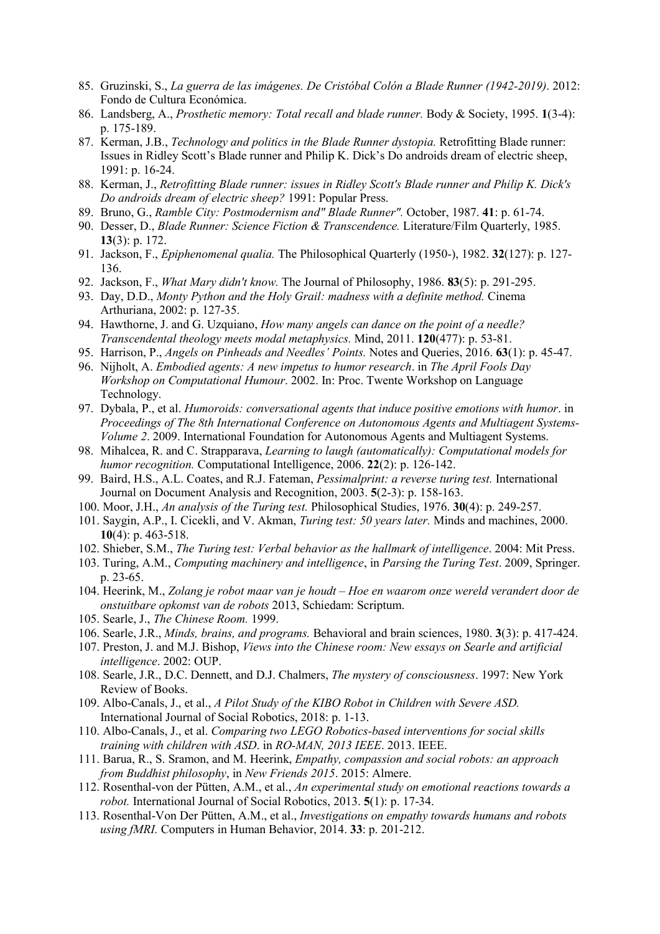- 85. Gruzinski, S., *La guerra de las imágenes. De Cristóbal Colón a Blade Runner (1942-2019)*. 2012: Fondo de Cultura Económica.
- 86. Landsberg, A., *Prosthetic memory: Total recall and blade runner.* Body & Society, 1995. **1**(3-4): p. 175-189.
- 87. Kerman, J.B., *Technology and politics in the Blade Runner dystopia.* Retrofitting Blade runner: Issues in Ridley Scott's Blade runner and Philip K. Dick's Do androids dream of electric sheep, 1991: p. 16-24.
- 88. Kerman, J., *Retrofitting Blade runner: issues in Ridley Scott's Blade runner and Philip K. Dick's Do androids dream of electric sheep?* 1991: Popular Press.
- 89. Bruno, G., *Ramble City: Postmodernism and" Blade Runner".* October, 1987. **41**: p. 61-74.
- 90. Desser, D., *Blade Runner: Science Fiction & Transcendence.* Literature/Film Quarterly, 1985. **13**(3): p. 172.
- 91. Jackson, F., *Epiphenomenal qualia.* The Philosophical Quarterly (1950-), 1982. **32**(127): p. 127- 136.
- 92. Jackson, F., *What Mary didn't know.* The Journal of Philosophy, 1986. **83**(5): p. 291-295.
- 93. Day, D.D., *Monty Python and the Holy Grail: madness with a definite method.* Cinema Arthuriana, 2002: p. 127-35.
- 94. Hawthorne, J. and G. Uzquiano, *How many angels can dance on the point of a needle? Transcendental theology meets modal metaphysics.* Mind, 2011. **120**(477): p. 53-81.
- 95. Harrison, P., *Angels on Pinheads and Needles' Points.* Notes and Queries, 2016. **63**(1): p. 45-47.
- 96. Nijholt, A. *Embodied agents: A new impetus to humor research*. in *The April Fools Day Workshop on Computational Humour*. 2002. In: Proc. Twente Workshop on Language Technology.
- 97. Dybala, P., et al. *Humoroids: conversational agents that induce positive emotions with humor*. in *Proceedings of The 8th International Conference on Autonomous Agents and Multiagent Systems-Volume 2*. 2009. International Foundation for Autonomous Agents and Multiagent Systems.
- 98. Mihalcea, R. and C. Strapparava, *Learning to laugh (automatically): Computational models for humor recognition.* Computational Intelligence, 2006. **22**(2): p. 126-142.
- 99. Baird, H.S., A.L. Coates, and R.J. Fateman, *Pessimalprint: a reverse turing test.* International Journal on Document Analysis and Recognition, 2003. **5**(2-3): p. 158-163.
- 100. Moor, J.H., *An analysis of the Turing test.* Philosophical Studies, 1976. **30**(4): p. 249-257.
- 101. Saygin, A.P., I. Cicekli, and V. Akman, *Turing test: 50 years later.* Minds and machines, 2000. **10**(4): p. 463-518.
- 102. Shieber, S.M., *The Turing test: Verbal behavior as the hallmark of intelligence*. 2004: Mit Press.
- 103. Turing, A.M., *Computing machinery and intelligence*, in *Parsing the Turing Test*. 2009, Springer. p. 23-65.
- 104. Heerink, M., *Zolang je robot maar van je houdt – Hoe en waarom onze wereld verandert door de onstuitbare opkomst van de robots* 2013, Schiedam: Scriptum.
- 105. Searle, J., *The Chinese Room.* 1999.
- 106. Searle, J.R., *Minds, brains, and programs.* Behavioral and brain sciences, 1980. **3**(3): p. 417-424.
- 107. Preston, J. and M.J. Bishop, *Views into the Chinese room: New essays on Searle and artificial intelligence*. 2002: OUP.
- 108. Searle, J.R., D.C. Dennett, and D.J. Chalmers, *The mystery of consciousness*. 1997: New York Review of Books.
- 109. Albo-Canals, J., et al., *A Pilot Study of the KIBO Robot in Children with Severe ASD.* International Journal of Social Robotics, 2018: p. 1-13.
- 110. Albo-Canals, J., et al. *Comparing two LEGO Robotics-based interventions for social skills training with children with ASD*. in *RO-MAN, 2013 IEEE*. 2013. IEEE.
- 111. Barua, R., S. Sramon, and M. Heerink, *Empathy, compassion and social robots: an approach from Buddhist philosophy*, in *New Friends 2015*. 2015: Almere.
- 112. Rosenthal-von der Pütten, A.M., et al., *An experimental study on emotional reactions towards a robot.* International Journal of Social Robotics, 2013. **5**(1): p. 17-34.
- 113. Rosenthal-Von Der Pütten, A.M., et al., *Investigations on empathy towards humans and robots using fMRI.* Computers in Human Behavior, 2014. **33**: p. 201-212.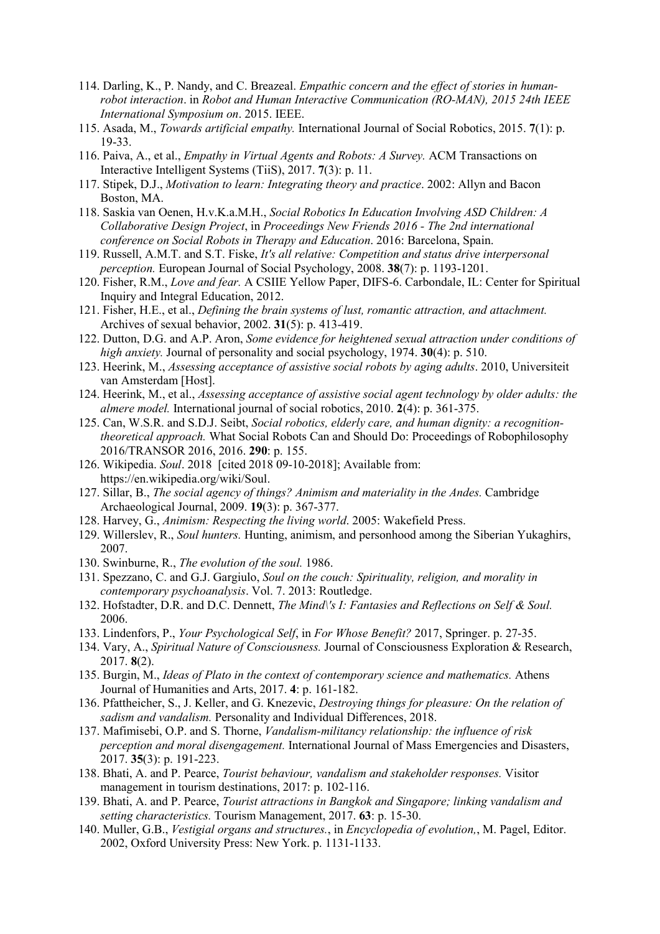- 114. Darling, K., P. Nandy, and C. Breazeal. *Empathic concern and the effect of stories in humanrobot interaction*. in *Robot and Human Interactive Communication (RO-MAN), 2015 24th IEEE International Symposium on*. 2015. IEEE.
- 115. Asada, M., *Towards artificial empathy.* International Journal of Social Robotics, 2015. **7**(1): p. 19-33.
- 116. Paiva, A., et al., *Empathy in Virtual Agents and Robots: A Survey.* ACM Transactions on Interactive Intelligent Systems (TiiS), 2017. **7**(3): p. 11.
- 117. Stipek, D.J., *Motivation to learn: Integrating theory and practice*. 2002: Allyn and Bacon Boston, MA.
- 118. Saskia van Oenen, H.v.K.a.M.H., *Social Robotics In Education Involving ASD Children: A Collaborative Design Project*, in *Proceedings New Friends 2016 - The 2nd international conference on Social Robots in Therapy and Education*. 2016: Barcelona, Spain.
- 119. Russell, A.M.T. and S.T. Fiske, *It's all relative: Competition and status drive interpersonal perception.* European Journal of Social Psychology, 2008. **38**(7): p. 1193-1201.
- 120. Fisher, R.M., *Love and fear.* A CSIIE Yellow Paper, DIFS-6. Carbondale, IL: Center for Spiritual Inquiry and Integral Education, 2012.
- 121. Fisher, H.E., et al., *Defining the brain systems of lust, romantic attraction, and attachment.* Archives of sexual behavior, 2002. **31**(5): p. 413-419.
- 122. Dutton, D.G. and A.P. Aron, *Some evidence for heightened sexual attraction under conditions of high anxiety.* Journal of personality and social psychology, 1974. **30**(4): p. 510.
- 123. Heerink, M., *Assessing acceptance of assistive social robots by aging adults*. 2010, Universiteit van Amsterdam [Host].
- 124. Heerink, M., et al., *Assessing acceptance of assistive social agent technology by older adults: the almere model.* International journal of social robotics, 2010. **2**(4): p. 361-375.
- 125. Can, W.S.R. and S.D.J. Seibt, *Social robotics, elderly care, and human dignity: a recognitiontheoretical approach.* What Social Robots Can and Should Do: Proceedings of Robophilosophy 2016/TRANSOR 2016, 2016. **290**: p. 155.
- 126. Wikipedia. *Soul*. 2018 [cited 2018 09-10-2018]; Available from: https://en.wikipedia.org/wiki/Soul.
- 127. Sillar, B., *The social agency of things? Animism and materiality in the Andes.* Cambridge Archaeological Journal, 2009. **19**(3): p. 367-377.
- 128. Harvey, G., *Animism: Respecting the living world*. 2005: Wakefield Press.
- 129. Willerslev, R., *Soul hunters.* Hunting, animism, and personhood among the Siberian Yukaghirs, 2007.
- 130. Swinburne, R., *The evolution of the soul.* 1986.
- 131. Spezzano, C. and G.J. Gargiulo, *Soul on the couch: Spirituality, religion, and morality in contemporary psychoanalysis*. Vol. 7. 2013: Routledge.
- 132. Hofstadter, D.R. and D.C. Dennett, *The Mind\'s I: Fantasies and Reflections on Self & Soul.* 2006.
- 133. Lindenfors, P., *Your Psychological Self*, in *For Whose Benefit?* 2017, Springer. p. 27-35.
- 134. Vary, A., *Spiritual Nature of Consciousness.* Journal of Consciousness Exploration & Research, 2017. **8**(2).
- 135. Burgin, M., *Ideas of Plato in the context of contemporary science and mathematics.* Athens Journal of Humanities and Arts, 2017. **4**: p. 161-182.
- 136. Pfattheicher, S., J. Keller, and G. Knezevic, *Destroying things for pleasure: On the relation of sadism and vandalism.* Personality and Individual Differences, 2018.
- 137. Mafimisebi, O.P. and S. Thorne, *Vandalism-militancy relationship: the influence of risk perception and moral disengagement.* International Journal of Mass Emergencies and Disasters, 2017. **35**(3): p. 191-223.
- 138. Bhati, A. and P. Pearce, *Tourist behaviour, vandalism and stakeholder responses.* Visitor management in tourism destinations, 2017: p. 102-116.
- 139. Bhati, A. and P. Pearce, *Tourist attractions in Bangkok and Singapore; linking vandalism and setting characteristics.* Tourism Management, 2017. **63**: p. 15-30.
- 140. Muller, G.B., *Vestigial organs and structures.*, in *Encyclopedia of evolution,*, M. Pagel, Editor. 2002, Oxford University Press: New York. p. 1131-1133.